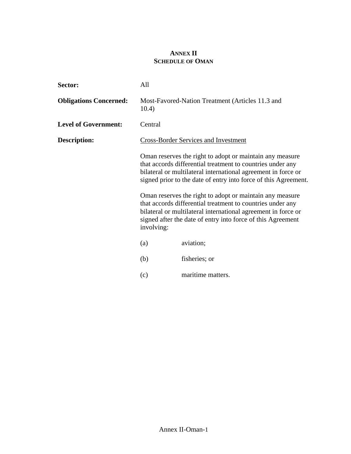## **ANNEX II SCHEDULE OF OMAN**

| Sector:                       | All                                                                                                                                                                                                                                                                                                                                                                                                                                                                                                                                |                                                  |
|-------------------------------|------------------------------------------------------------------------------------------------------------------------------------------------------------------------------------------------------------------------------------------------------------------------------------------------------------------------------------------------------------------------------------------------------------------------------------------------------------------------------------------------------------------------------------|--------------------------------------------------|
| <b>Obligations Concerned:</b> | 10.4)                                                                                                                                                                                                                                                                                                                                                                                                                                                                                                                              | Most-Favored-Nation Treatment (Articles 11.3 and |
| <b>Level of Government:</b>   | Central                                                                                                                                                                                                                                                                                                                                                                                                                                                                                                                            |                                                  |
| Description:                  |                                                                                                                                                                                                                                                                                                                                                                                                                                                                                                                                    | <b>Cross-Border Services and Investment</b>      |
|                               | Oman reserves the right to adopt or maintain any measure<br>that accords differential treatment to countries under any<br>bilateral or multilateral international agreement in force or<br>signed prior to the date of entry into force of this Agreement.<br>Oman reserves the right to adopt or maintain any measure<br>that accords differential treatment to countries under any<br>bilateral or multilateral international agreement in force or<br>signed after the date of entry into force of this Agreement<br>involving: |                                                  |
|                               | (a)                                                                                                                                                                                                                                                                                                                                                                                                                                                                                                                                | aviation;                                        |
|                               | (b)                                                                                                                                                                                                                                                                                                                                                                                                                                                                                                                                | fisheries; or                                    |
|                               | (c)                                                                                                                                                                                                                                                                                                                                                                                                                                                                                                                                | maritime matters.                                |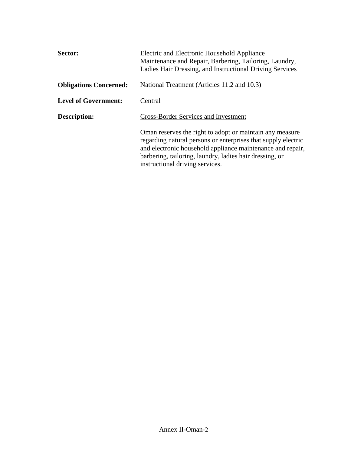| Sector:                       | Electric and Electronic Household Appliance<br>Maintenance and Repair, Barbering, Tailoring, Laundry,<br>Ladies Hair Dressing, and Instructional Driving Services                                                                                                                     |
|-------------------------------|---------------------------------------------------------------------------------------------------------------------------------------------------------------------------------------------------------------------------------------------------------------------------------------|
| <b>Obligations Concerned:</b> | National Treatment (Articles 11.2 and 10.3)                                                                                                                                                                                                                                           |
| <b>Level of Government:</b>   | Central                                                                                                                                                                                                                                                                               |
| Description:                  | <b>Cross-Border Services and Investment</b>                                                                                                                                                                                                                                           |
|                               | Oman reserves the right to adopt or maintain any measure<br>regarding natural persons or enterprises that supply electric<br>and electronic household appliance maintenance and repair,<br>barbering, tailoring, laundry, ladies hair dressing, or<br>instructional driving services. |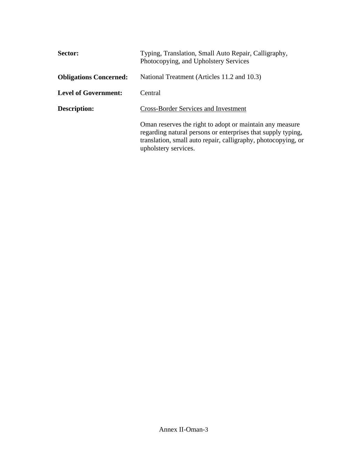| Sector:                       | Typing, Translation, Small Auto Repair, Calligraphy,<br>Photocopying, and Upholstery Services                                                                                                                     |
|-------------------------------|-------------------------------------------------------------------------------------------------------------------------------------------------------------------------------------------------------------------|
| <b>Obligations Concerned:</b> | National Treatment (Articles 11.2 and 10.3)                                                                                                                                                                       |
| <b>Level of Government:</b>   | Central                                                                                                                                                                                                           |
| Description:                  | <b>Cross-Border Services and Investment</b>                                                                                                                                                                       |
|                               | Oman reserves the right to adopt or maintain any measure<br>regarding natural persons or enterprises that supply typing,<br>translation, small auto repair, calligraphy, photocopying, or<br>upholstery services. |